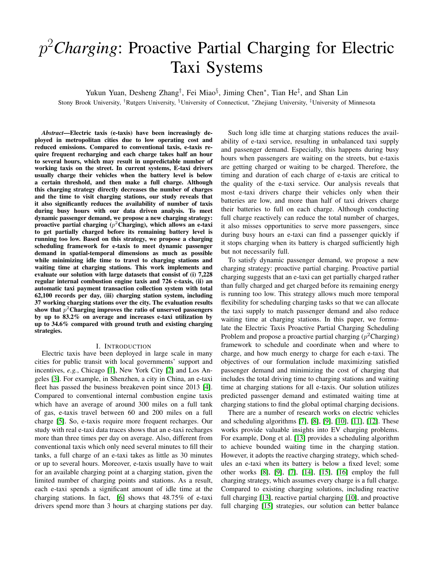# p <sup>2</sup>*Charging*: Proactive Partial Charging for Electric Taxi Systems

Yukun Yuan, Desheng Zhang<sup>†</sup>, Fei Miao<sup>§</sup>, Jiming Chen<sup>∗</sup>, Tian He<sup>‡</sup>, and Shan Lin

Stony Brook University, †Rutgers University, §University of Connecticut, <sup>∗</sup>Zhejiang University, ‡University of Minnesota

*Abstract*—Electric taxis (e-taxis) have been increasingly deployed in metropolitan cities due to low operating cost and reduced emissions. Compared to conventional taxis, e-taxis require frequent recharging and each charge takes half an hour to several hours, which may result in unpredictable number of working taxis on the street. In current systems, E-taxi drivers usually charge their vehicles when the battery level is below a certain threshold, and then make a full charge. Although this charging strategy directly decreases the number of charges and the time to visit charging stations, our study reveals that it also significantly reduces the availability of number of taxis during busy hours with our data driven analysis. To meet dynamic passenger demand, we propose a new charging strategy: proactive partial charging ( $p^2$ Charging), which allows an e-taxi to get partially charged before its remaining battery level is running too low. Based on this strategy, we propose a charging scheduling framework for e-taxis to meet dynamic passenger demand in spatial-temporal dimensions as much as possible while minimizing idle time to travel to charging stations and waiting time at charging stations. This work implements and evaluate our solution with large datasets that consist of (i) 7,228 regular internal combustion engine taxis and 726 e-taxis, (ii) an automatic taxi payment transaction collection system with total 62,100 records per day, (iii) charging station system, including 37 working charging stations over the city. The evaluation results show that  $p^2$ Charging improves the ratio of unserved passengers by up to 83.2% on average and increases e-taxi utilization by up to 34.6% compared with ground truth and existing charging strategies.

#### I. INTRODUCTION

Electric taxis have been deployed in large scale in many cities for public transit with local governments' support and incentives, *e.g.*, Chicago [\[1\]](#page-10-0), New York City [\[2\]](#page-10-1) and Los Angeles [\[3\]](#page-10-2). For example, in Shenzhen, a city in China, an e-taxi fleet has passed the business breakeven point since 2013 [\[4\]](#page-10-3). Compared to conventional internal combustion engine taxis which have an average of around 300 miles on a full tank of gas, e-taxis travel between 60 and 200 miles on a full charge [\[5\]](#page-10-4). So, e-taxis require more frequent recharges. Our study with real e-taxi data traces shows that an e-taxi recharges more than three times per day on average. Also, different from conventional taxis which only need several minutes to fill their tanks, a full charge of an e-taxi takes as little as 30 minutes or up to several hours. Moreover, e-taxis usually have to wait for an available charging point at a charging station, given the limited number of charging points and stations. As a result, each e-taxi spends a significant amount of idle time at the charging stations. In fact, [\[6\]](#page-10-5) shows that 48.75% of e-taxi drivers spend more than 3 hours at charging stations per day.

Such long idle time at charging stations reduces the availability of e-taxi service, resulting in unbalanced taxi supply and passenger demand. Especially, this happens during busy hours when passengers are waiting on the streets, but e-taxis are getting charged or waiting to be charged. Therefore, the timing and duration of each charge of e-taxis are critical to the quality of the e-taxi service. Our analysis reveals that most e-taxi drivers charge their vehicles only when their batteries are low, and more than half of taxi drivers charge their batteries to full on each charge. Although conducting full charge reactively can reduce the total number of charges, it also misses opportunities to serve more passengers, since during busy hours an e-taxi can find a passenger quickly if it stops charging when its battery is charged sufficiently high but not necessarily full.

To satisfy dynamic passenger demand, we propose a new charging strategy: proactive partial charging. Proactive partial charging suggests that an e-taxi can get partially charged rather than fully charged and get charged before its remaining energy is running too low. This strategy allows much more temporal flexibility for scheduling charging tasks so that we can allocate the taxi supply to match passenger demand and also reduce waiting time at charging stations. In this paper, we formulate the Electric Taxis Proactive Partial Charging Scheduling Problem and propose a proactive partial charging  $(p^2$ Charging) framework to schedule and coordinate when and where to charge, and how much energy to charge for each e-taxi. The objectives of our formulation include maximizing satisfied passenger demand and minimizing the cost of charging that includes the total driving time to charging stations and waiting time at charging stations for all e-taxis. Our solution utilizes predicted passenger demand and estimated waiting time at charging stations to find the global optimal charging decisions.

There are a number of research works on electric vehicles and scheduling algorithms [\[7\]](#page-10-6), [\[8\]](#page-10-7), [\[9\]](#page-10-8), [\[10\]](#page-10-9), [\[11\]](#page-10-10), [\[12\]](#page-10-11). These works provide valuable insights into EV charging problems. For example, Dong et al. [\[13\]](#page-10-12) provides a scheduling algorithm to achieve bounded waiting time in the charging station. However, it adopts the reactive charging strategy, which schedules an e-taxi when its battery is below a fixed level; some other works [\[8\]](#page-10-7), [\[9\]](#page-10-8), [\[7\]](#page-10-6), [\[14\]](#page-10-13), [\[15\]](#page-10-14), [\[16\]](#page-10-15) employ the full charging strategy, which assumes every charge is a full charge. Compared to existing charging solutions, including reactive full charging [\[13\]](#page-10-12), reactive partial charging [\[10\]](#page-10-9), and proactive full charging [\[15\]](#page-10-14) strategies, our solution can better balance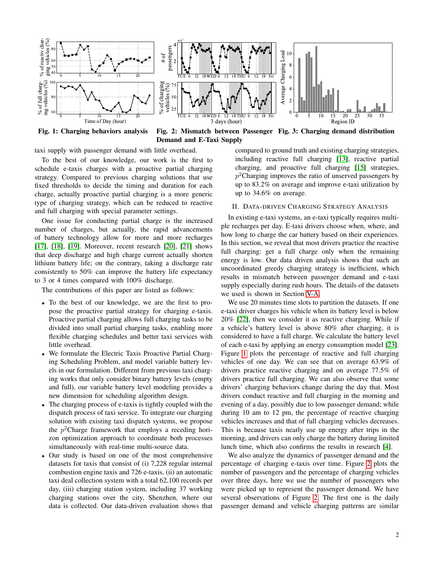<span id="page-1-0"></span>

Fig. 1: Charging behaviors analysis

Fig. 2: Mismatch between Passenger Fig. 3: Charging demand distribution Demand and E-Taxi Supply

taxi supply with passenger demand with little overhead.

To the best of our knowledge, our work is the first to schedule e-taxis charges with a proactive partial charging strategy. Compared to previous charging solutions that use fixed thresholds to decide the timing and duration for each charge, actually proactive partial charging is a more generic type of charging strategy, which can be reduced to reactive and full charging with special parameter settings.

One issue for conducting partial charge is the increased number of charges, but actually, the rapid advancements of battery technology allow for more and more recharges [\[17\]](#page-10-16), [\[18\]](#page-10-17), [\[19\]](#page-10-18). Moreover, recent research [\[20\]](#page-10-19), [\[21\]](#page-10-20) shows that deep discharge and high charge current actually shorten lithium battery life; on the contrary, taking a discharge rate consistently to 50% can improve the battery life expectancy to 3 or 4 times compared with 100% discharge.

The contributions of this paper are listed as follows:

- To the best of our knowledge, we are the first to propose the proactive partial strategy for charging e-taxis. Proactive partial charging allows full charging tasks to be divided into small partial charging tasks, enabling more flexible charging schedules and better taxi services with little overhead.
- We formulate the Electric Taxis Proactive Partial Charging Scheduling Problem, and model variable battery levels in our formulation. Different from previous taxi charging works that only consider binary battery levels (empty and full), our variable battery level modeling provides a new dimension for scheduling algorithm design.
- The charging process of e-taxis is tightly coupled with the dispatch process of taxi service. To integrate our charging solution with existing taxi dispatch systems, we propose the  $p^2$ Charge framework that employs a receding horizon optimization approach to coordinate both processes simultaneously with real-time multi-source data.
- Our study is based on one of the most comprehensive datasets for taxis that consist of (i) 7,228 regular internal combustion engine taxis and 726 e-taxis, (ii) an automatic taxi deal collection system with a total 62,100 records per day, (iii) charging station system, including 37 working charging stations over the city, Shenzhen, where our data is collected. Our data-driven evaluation shows that

compared to ground truth and existing charging strategies, including reactive full charging [\[13\]](#page-10-12), reactive partial charging, and proactive full charging [\[15\]](#page-10-14) strategies,  $p<sup>2</sup>$ Charging improves the ratio of unserved passengers by up to 83.2% on average and improve e-taxi utilization by up to 34.6% on average.

## II. DATA-DRIVEN CHARGING STRATEGY ANALYSIS

In existing e-taxi systems, an e-taxi typically requires multiple recharges per day. E-taxi drivers choose when, where, and how long to charge the car battery based on their experiences. In this section, we reveal that most drivers practice the reactive full charging: get a full charge only when the remaining energy is low. Our data driven analysis shows that such an uncoordinated greedy charging strategy is inefficient, which results in mismatch between passenger demand and e-taxi supply especially during rush hours. The details of the datasets we used is shown in Section [V-A.](#page-6-0)

We use 20 minutes time slots to partition the datasets. If one e-taxi driver charges his vehicle when its battery level is below 20% [\[22\]](#page-10-21), then we consider it as reactive charging. While if a vehicle's battery level is above 80% after charging, it is considered to have a full charge. We calculate the battery level of each e-taxi by applying an energy consumption model [\[23\]](#page-10-22). Figure [1](#page-1-0) plots the percentage of reactive and full charging vehicles of one day. We can see that on average 63.9% of drivers practice reactive charging and on average 77.5% of drivers practice full charging. We can also observe that some drivers' charging behaviors change during the day that. Most drivers conduct reactive and full charging in the morning and evening of a day, possibly due to low passenger demand; while during 10 am to 12 pm, the percentage of reactive charging vehicles increases and that of full charging vehicles decreases. This is because taxis nearly use up energy after trips in the morning, and drivers can only charge the battery during limited lunch time, which also confirms the results in research [\[4\]](#page-10-3).

We also analyze the dynamics of passenger demand and the percentage of charging e-taxis over time. Figure [2](#page-1-0) plots the number of passengers and the percentage of charging vehicles over three days, here we use the number of passengers who were picked up to represent the passenger demand. We have several observations of Figure [2.](#page-1-0) The first one is the daily passenger demand and vehicle charging patterns are similar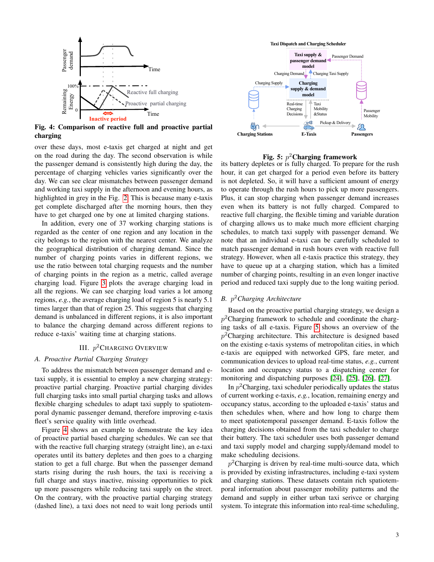<span id="page-2-0"></span>

Fig. 4: Comparison of reactive full and proactive partial charging

over these days, most e-taxis get charged at night and get on the road during the day. The second observation is while the passenger demand is consistently high during the day, the percentage of charging vehicles varies significantly over the day. We can see clear mismatches between passenger demand and working taxi supply in the afternoon and evening hours, as highlighted in grey in the Fig. [2.](#page-1-0) This is because many e-taxis get complete discharged after the morning hours, then they have to get charged one by one at limited charging stations.

In addition, every one of 37 working charging stations is regarded as the center of one region and any location in the city belongs to the region with the nearest center. We analyze the geographical distribution of charging demand. Since the number of charging points varies in different regions, we use the ratio between total charging requests and the number of charging points in the region as a metric, called average charging load. Figure [3](#page-1-0) plots the average charging load in all the regions. We can see charging load varies a lot among regions, *e.g.*, the average charging load of region 5 is nearly 5.1 times larger than that of region 25. This suggests that charging demand is unbalanced in different regions, it is also important to balance the charging demand across different regions to reduce e-taxis' waiting time at charging stations.

# III.  $p^2$ Charging Overview

## *A. Proactive Partial Charging Strategy*

To address the mismatch between passenger demand and etaxi supply, it is essential to employ a new charging strategy: proactive partial charging. Proactive partial charging divides full charging tasks into small partial charging tasks and allows flexible charging schedules to adapt taxi supply to spatiotemporal dynamic passenger demand, therefore improving e-taxis fleet's service quality with little overhead.

Figure [4](#page-2-0) shows an example to demonstrate the key idea of proactive partial based charging schedules. We can see that with the reactive full charging strategy (straight line), an e-taxi operates until its battery depletes and then goes to a charging station to get a full charge. But when the passenger demand starts rising during the rush hours, the taxi is receiving a full charge and stays inactive, missing opportunities to pick up more passengers while reducing taxi supply on the street. On the contrary, with the proactive partial charging strategy (dashed line), a taxi does not need to wait long periods until

<span id="page-2-1"></span>

Fig. 5:  $p^2$ Charging framework

its battery depletes or is fully charged. To prepare for the rush hour, it can get charged for a period even before its battery is not depleted. So, it will have a sufficient amount of energy to operate through the rush hours to pick up more passengers. Plus, it can stop charging when passenger demand increases even when its battery is not fully charged. Compared to reactive full charging, the flexible timing and variable duration of charging allows us to make much more efficient charging schedules, to match taxi supply with passenger demand. We note that an individual e-taxi can be carefully scheduled to match passenger demand in rush hours even with reactive full strategy. However, when all e-taxis practice this strategy, they have to queue up at a charging station, which has a limited number of charging points, resulting in an even longer inactive period and reduced taxi supply due to the long waiting period.

# *B.* p <sup>2</sup>*Charging Architecture*

Based on the proactive partial charging strategy, we design a  $p<sup>2</sup>$ Charging framework to schedule and coordinate the charging tasks of all e-taxis. Figure [5](#page-2-1) shows an overview of the  $p<sup>2</sup>$ Charging architecture. This architecture is designed based on the existing e-taxis systems of metropolitan cities, in which e-taxis are equipped with networked GPS, fare meter, and communication devices to upload real-time status, *e.g.*, current location and occupancy status to a dispatching center for monitoring and dispatching purposes [\[24\]](#page-10-23), [\[25\]](#page-10-24), [\[26\]](#page-10-25), [\[27\]](#page-10-26).

In  $p^2$ Charging, taxi scheduler periodically updates the status of current working e-taxis, *e.g.*, location, remaining energy and occupancy status, according to the uploaded e-taxis' status and then schedules when, where and how long to charge them to meet spatiotemporal passenger demand. E-taxis follow the charging decisions obtained from the taxi scheduler to charge their battery. The taxi scheduler uses both passenger demand and taxi supply model and charging supply/demand model to make scheduling decisions.

 $p<sup>2</sup>$ Charging is driven by real-time multi-source data, which is provided by existing infrastructures, including e-taxi system and charging stations. These datasets contain rich spatiotemporal information about passenger mobility patterns and the demand and supply in either urban taxi serivce or charging system. To integrate this information into real-time scheduling,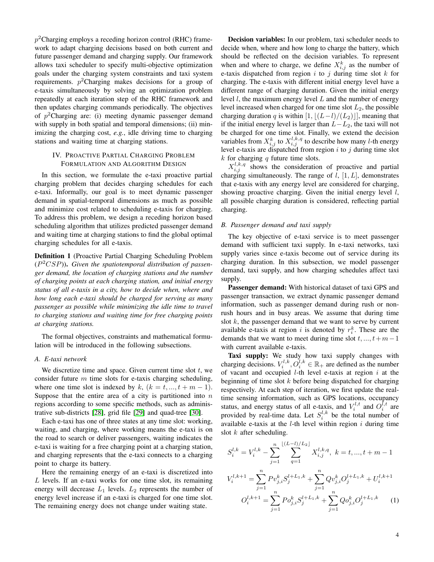$p<sup>2</sup>$ Charging employs a receding horizon control (RHC) framework to adapt charging decisions based on both current and future passenger demand and charging supply. Our framework allows taxi scheduler to specify multi-objective optimization goals under the charging system constraints and taxi system requirements.  $p^2$ Charging makes decisions for a group of e-taxis simultaneously by solving an optimization problem repeatedly at each iteration step of the RHC framework and then updates charging commands periodically. The objectives of  $p^2$ Charging are: (i) meeting dynamic passenger demand with supply in both spatial and temporal dimensions; (ii) minimizing the charging cost, *e.g.*, idle driving time to charging stations and waiting time at charging stations.

## IV. PROACTIVE PARTIAL CHARGING PROBLEM FORMULATION AND ALGORITHM DESIGN

In this section, we formulate the e-taxi proactive partial charging problem that decides charging schedules for each e-taxi. Informally, our goal is to meet dynamic passenger demand in spatial-temporal dimensions as much as possible and minimize cost related to scheduling e-taxis for charging. To address this problem, we design a receding horizon based scheduling algorithm that utilizes predicted passenger demand and waiting time at charging stations to find the global optimal charging schedules for all e-taxis.

<span id="page-3-1"></span>Definition 1 (Proactive Partial Charging Scheduling Problem (P <sup>2</sup>CSP)). *Given the spatiotemporal distribution of passenger demand, the location of charging stations and the number of charging points at each charging station, and initial energy status of all e-taxis in a city, how to decide when, where and how long each e-taxi should be charged for serving as many passenger as possible while minimizing the idle time to travel to charging stations and waiting time for free charging points at charging stations.*

The formal objectives, constraints and mathematical formulation will be introduced in the following subsections.

#### *A. E-taxi network*

We discretize time and space. Given current time slot  $t$ , we consider future  $m$  time slots for e-taxis charging scheduling, where one time slot is indexed by k,  $(k = t, ..., t + m - 1)$ . Suppose that the entire area of a city is partitioned into  $n$ regions according to some specific methods, such as administrative sub-districts [\[28\]](#page-10-27), grid file [\[29\]](#page-10-28) and quad-tree [\[30\]](#page-10-29).

Each e-taxi has one of three states at any time slot: working, waiting, and charging, where working means the e-taxi is on the road to search or deliver passengers, waiting indicates the e-taxi is waiting for a free charging point at a charging station, and charging represents that the e-taxi connects to a charging point to charge its battery.

Here the remaining energy of an e-taxi is discretized into  $L$  levels. If an e-taxi works for one time slot, its remaining energy will decrease  $L_1$  levels.  $L_2$  represents the number of energy level increase if an e-taxi is charged for one time slot. The remaining energy does not change under waiting state.

Decision variables: In our problem, taxi scheduler needs to decide when, where and how long to charge the battery, which should be reflected on the decision variables. To represent when and where to charge, we define  $X_{i,j}^k$  as the number of e-taxis dispatched from region  $i$  to  $j$  during time slot  $k$  for charging. The e-taxis with different initial energy level have a different range of charging duration. Given the initial energy level  $l$ , the maximum energy level  $L$  and the number of energy level increased when charged for one time slot  $L_2$ , the possible charging duration q is within  $[1, \lfloor (L-l)/(L_2) \rfloor]$ , meaning that if the initial energy level is larger than  $L-L_2$ , the taxi will not be charged for one time slot. Finally, we extend the decision variables from  $X_{i,j}^k$  to  $X_{i,j}^{l,k,q}$  to describe how many *l*-th energy level e-taxis are dispatched from region  $i$  to  $j$  during time slot  $k$  for charging  $q$  future time slots.

 $X_{i,j}^{l,k,q}$  shows the consideration of proactive and partial charging simultaneously. The range of  $l$ ,  $[1, L]$ , demonstrates that e-taxis with any energy level are considered for charging, showing proactive charging. Given the initial energy level  $l$ , all possible charging duration is considered, reflecting partial charging.

### *B. Passenger demand and taxi supply*

The key objective of e-taxi service is to meet passenger demand with sufficient taxi supply. In e-taxi networks, taxi supply varies since e-taxis become out of service during its charging duration. In this subsection, we model passenger demand, taxi supply, and how charging schedules affect taxi supply.

Passenger demand: With historical dataset of taxi GPS and passenger transaction, we extract dynamic passenger demand information, such as passenger demand during rush or nonrush hours and in busy areas. We assume that during time slot  $k$ , the passenger demand that we want to serve by current available e-taxis at region i is denoted by  $r_i^k$ . These are the demands that we want to meet during time slot  $t, ..., t+m-1$ with current available e-taxis.

Taxi supply: We study how taxi supply changes with charging decisions.  $V_i^{l,k}, O_i^{l,k} \in \mathbb{R}_+$  are defined as the number of vacant and occupied  $l$ -th level e-taxis at region  $i$  at the beginning of time slot  $k$  before being dispatched for charging respectively. At each step of iteration, we first update the realtime sensing information, such as GPS locations, occupancy status, and energy status of all e-taxis, and  $V_i^{l,t}$  and  $O_i^{l,t}$  are provided by real-time data. Let  $S_i^{l,k}$  be the total number of available e-taxis at the  $l$ -th level within region  $i$  during time slot  $k$  after scheduling.

<span id="page-3-0"></span>
$$
S_i^{l,k} = V_i^{l,k} - \sum_{j=1}^n \sum_{q=1}^{\lfloor (L-l)/L_2 \rfloor} X_{i,j}^{l,k,q}, \ k = t, ..., t + m - 1
$$
  

$$
V_i^{l,k+1} = \sum_{j=1}^n P v_{j,i}^k S_j^{l+L_1,k} + \sum_{j=1}^n Q v_{j,i}^k O_j^{l+L_1,k} + U_i^{l,k+1}
$$
  

$$
O_i^{l,k+1} = \sum_{j=1}^n P o_{j,i}^k S_j^{l+L_1,k} + \sum_{j=1}^n Q o_{j,i}^k O_j^{l+L_1,k} \tag{1}
$$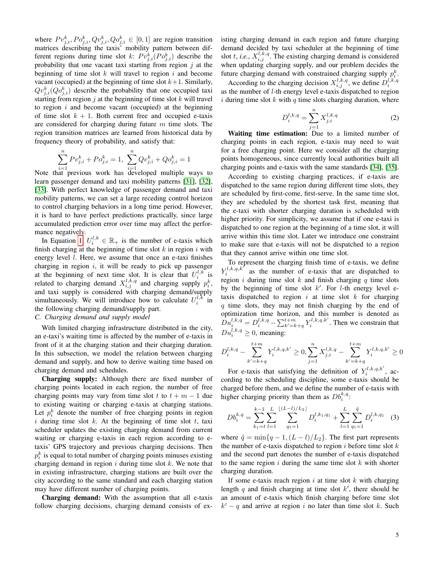where  $Pv_{j,i}^k, Po_{j,i}^k, Qv_{j,i}^k, Qo_{j,i}^k \in [0,1]$  are region transition matrices describing the taxis' mobility pattern between different regions during time slot k:  $Pv_{j,i}^k(Po_{j,i}^k)$  describe the probability that one vacant taxi starting from region  $j$  at the beginning of time slot  $k$  will travel to region  $i$  and become vacant (occupied) at the beginning of time slot  $k+1$ . Similarly,  $Qv_{j,i}^k(Qo_{j,i}^k)$  describe the probability that one occupied taxi starting from region  $j$  at the beginning of time slot  $k$  will travel to region  $i$  and become vacant (occupied) at the beginning of time slot  $k + 1$ . Both current free and occupied e-taxis are considered for charging during future  $m$  time slots. The region transition matrices are learned from historical data by frequency theory of probability, and satisfy that:

$$
\sum_{i=1}^{n} P v_{j,i}^{k} + P o_{j,i}^{k} = 1, \ \sum_{i=1}^{n} Q v_{j,i}^{k} + Q o_{j,i}^{k} = 1
$$

Note that previous work has developed multiple ways to learn passenger demand and taxi mobility patterns [\[31\]](#page-10-30), [\[32\]](#page-10-31), [\[33\]](#page-10-32). With perfect knowledge of passenger demand and taxi mobility patterns, we can set a large receding control horizon to control charging behaviors in a long time period. However, it is hard to have perfect predictions practically, since large accumulated prediction error over time may affect the performance negatively.

In Equation [1,](#page-3-0)  $U_i^{l,k} \in \mathbb{R}_+$  is the number of e-taxis which finish charging at the beginning of time slot  $k$  in region  $i$  with energy level *l*. Here, we assume that once an e-taxi finishes charging in region  $i$ , it will be ready to pick up passenger at the beginning of next time slot. It is clear that  $U_i^{l,k}$  is related to charging demand  $X_{i,j}^{l,k,q}$  and charging supply  $p_i^k$ , and taxi supply is considered with charging demand/supply simultaneously. We will introduce how to calculate  $U_i^{l,k}$  in the following charging demand/supply part.

# <span id="page-4-0"></span>*C. Charging demand and supply model*

With limited charging infrastructure distributed in the city, an e-taxi's waiting time is affected by the number of e-taxis in front of it at the charging station and their charging duration. In this subsection, we model the relation between charging demand and supply, and how to derive waiting time based on charging demand and schedules.

Charging supply: Although there are fixed number of charging points located in each region, the number of free charging points may vary from time slot t to  $t + m - 1$  due to existing waiting or charging e-taxis at charging stations. Let  $p_i^k$  denote the number of free charging points in region i during time slot  $k$ . At the beginning of time slot  $t$ , taxi scheduler updates the existing charging demand from current waiting or charging e-taxis in each region according to etaxis' GPS trajectory and previous charging decisions. Then  $p_i^k$  is equal to total number of charging points minuses existing charging demand in region  $i$  during time slot  $k$ . We note that in existing infrastructure, charging stations are built over the city according to the same standard and each charging station may have different number of charging points.

Charging demand: With the assumption that all e-taxis follow charging decisions, charging demand consists of existing charging demand in each region and future charging demand decided by taxi scheduler at the beginning of time slot t, *i.e.*,  $X_{i,j}^{l,k,q}$ . The existing charging demand is considered when updating charging supply, and our problem decides the future charging demand with constrained charging supply  $p_i^k$ .

According to the charging decision  $X_{i,j}^{l,k,q}$ , we define  $D_i^{l,k,q}$ as the number of  $l$ -th energy level e-taxis dispatched to region i during time slot  $k$  with  $q$  time slots charging duration, where

$$
D_i^{l,k,q} = \sum_{j=1}^n X_{j,i}^{l,k,q}
$$
 (2)

Waiting time estimation: Due to a limited number of charging points in each region, e-taxis may need to wait for a free charging point. Here we consider all the charging points homogeneous, since currently local authorities built all charging points and e-taxis with the same standards [\[34\]](#page-10-33), [\[35\]](#page-10-34).

According to existing charging practices, if e-taxis are dispatched to the same region during different time slots, they are scheduled by first-come, first-serve. In the same time slot, they are scheduled by the shortest task first, meaning that the e-taxi with shorter charging duration is scheduled with higher priority. For simplicity, we assume that if one e-taxi is dispatched to one region at the beginning of a time slot, it will arrive within this time slot. Later we introduce one constraint to make sure that e-taxis will not be dispatched to a region that they cannot arrive within one time slot.

To represent the charging finish time of e-taxis, we define  $Y_i^{l,k,q,k'}$  as the number of e-taxis that are dispatched to region  $i$  during time slot  $k$  and finish charging  $q$  time slots by the beginning of time slot  $k'$ . For *l*-th energy level etaxis dispatched to region  $i$  at time slot  $k$  for charging  $q$  time slots, they may not finish charging by the end of optimization time horizon, and this number is denoted as  $Du_i^{l,k,q} = D_i^{l,k,q} - \sum_{k'=k+q}^{t+m} Y_i^{l,k,q,k'}$ . Then we constrain that  $Du_i^{l,k,q} \geq 0$ , meaning:

$$
D_i^{l,k,q} - \sum_{k'=k+q}^{t+m} Y_i^{l,k,q,k'} \ge 0, \sum_{j=1}^n X_{j,i}^{l,k,q} - \sum_{k'=k+q}^{t+m} Y_i^{l,k,q,k'} \ge 0
$$

For e-taxis that satisfying the definition of  $Y_i^{l,k,q,k'}$ , according to the scheduling discipline, some e-taxis should be charged before them, and we define the number of e-taxis with higher charging priority than them as  $Db_i^{k,q}$ :

$$
Db_i^{k,q} = \sum_{k_1=t}^{k-1} \sum_{l=1}^{L} \sum_{q_1=1}^{\lfloor (L-l)/L_2 \rfloor} D_i^{l,k_1,q_1} + \sum_{l=1}^{L} \sum_{q_1=1}^{\tilde{q}} D_i^{l,k,q_1} \tag{3}
$$

where  $\tilde{q} = \min\{q - 1,(L - l)/L_2\}$ . The first part represents the number of e-taxis dispatched to region  $i$  before time slot  $k$ and the second part denotes the number of e-taxis dispatched to the same region  $i$  during the same time slot  $k$  with shorter charging duration.

If some e-taxis reach region  $i$  at time slot  $k$  with charging length  $q$  and finish charging at time slot  $k'$ , there should be an amount of e-taxis which finish charging before time slot  $k' - q$  and arrive at region i no later than time slot k. Such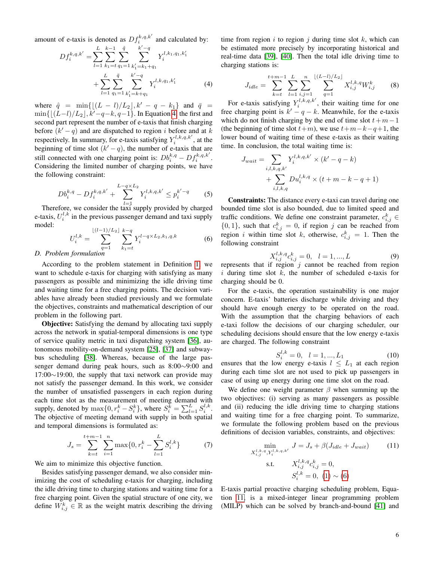amount of e-taxis is denoted as  $Df_i^{k,q,k'}$  and calculated by:

$$
Df_i^{k,q,k'} = \sum_{l=1}^{L} \sum_{k_1=t}^{k-1} \sum_{q_1=1}^{\hat{q}} \sum_{k'_1=k_1+q_1}^{k'-q} Y_i^{l,k_1,q_1,k'_1} + \sum_{l=1}^{L} \sum_{q_1=1}^{\bar{q}} \sum_{k'_1=k+q_1}^{k'-q} Y_i^{l,k,q_1,k'_1}
$$
(4)

where  $\hat{q} = \min\{[(L - l)/L_2], k' - q - k_1\}$  and  $\bar{q} =$  $\min\{\lfloor (L-l)/L_2\rfloor, k'-q-k, q-1\}.$  In Equation [4,](#page-5-0) the first and second part represent the number of e-taxis that finish charging before  $(k'-q)$  and are dispatched to region i before and at k respectively. In summary, for e-taxis satisfying  $Y_i^{l,k,q,k'}$ , at the beginning of time slot  $(k'-q)$ , the number of e-taxis that are still connected with one charging point is:  $Db_i^{k,q} - Df_i^{k,q,k'}$ . Considering the limited number of charging points, we have the following constraint:

$$
Db_i^{k,q} - Df_i^{k,q,k'} + \sum_{l=1}^{L-q \times L_2} Y_i^{l,k,q,k'} \le p_i^{k'-q} \tag{5}
$$

Therefore, we consider the taxi supply provided by charged e-taxis,  $U_i^{l,k}$  in the previous passenger demand and taxi supply model:

<span id="page-5-1"></span>
$$
U_i^{l,k} = \sum_{q=1}^{\lfloor (l-1)/L_2 \rfloor} \sum_{k_1=t}^{k-q} Y_i^{l-q \times L_2, k_1, q, k}
$$
(6)

## *D. Problem formulation*

According to the problem statement in Definition [1,](#page-3-1) we want to schedule e-taxis for charging with satisfying as many passengers as possible and minimizing the idle driving time and waiting time for a free charging points. The decision variables have already been studied previously and we formulate the objectives, constraints and mathematical description of our problem in the following part.

Objective: Satisfying the demand by allocating taxi supply across the network in spatial-temporal dimensions is one type of service quality metric in taxi dispatching system [\[36\]](#page-10-35), autonomous mobility-on-demand system [\[25\]](#page-10-24), [\[37\]](#page-10-36) and subwaybus scheduling [\[38\]](#page-10-37). Whereas, because of the large passenger demand during peak hours, such as 8:00∼9:00 and 17:00∼19:00, the supply that taxi network can provide may not satisfy the passenger demand. In this work, we consider the number of unsatisfied passengers in each region during each time slot as the measurement of meeting demand with supply, denoted by  $\max\{0, r_i^k - S_i^k\}$ , where  $S_i^{\overline{k}} = \sum_{l=1}^L S_i^{l,k}$ . The objective of meeting demand with supply in both spatial and temporal dimensions is formulated as:

$$
J_s = \sum_{k=t}^{t+m-1} \sum_{i=1}^n \max\{0, r_i^k - \sum_{l=1}^L S_i^{l,k}\} \tag{7}
$$

We aim to minimize this objective function.

Besides satisfying passenger demand, we also consider minimizing the cost of scheduling e-taxis for charging, including the idle driving time to charging stations and waiting time for a free charging point. Given the spatial structure of one city, we define  $W_{i,j}^k \in \mathbb{R}$  as the weight matrix describing the driving

time from region i to region j during time slot  $k$ , which can be estimated more precisely by incorporating historical and real-time data [\[39\]](#page-10-38), [\[40\]](#page-10-39). Then the total idle driving time to charging stations is:

$$
J_{idle} = \sum_{k=t}^{t+m-1} \sum_{l=1}^{L} \sum_{i,j=1}^{n} \sum_{j=1}^{\lfloor (L-l)/L_2 \rfloor} X_{i,j}^{l,k,q} W_{i,j}^k \tag{8}
$$

<span id="page-5-0"></span>For e-taxis satisfying  $Y_i^{l,k,q,k'}$ , their waiting time for one free charging point is  $k' - q - k$ . Meanwhile, for the e-taxis which do not finish charging by the end of time slot  $t+m-1$ (the beginning of time slot  $t+m$ ), we use  $t+m-k-q+1$ , the lower bound of waiting time of these e-taxis as their waiting time. In conclusion, the total waiting time is:

$$
J_{wait} = \sum_{i,l,k,q,k'} Y_i^{l,k,q,k'} \times (k'-q-k) + \sum_{i,l,k,q} Du_i^{l,k,q} \times (t+m-k-q+1)
$$

Constraints: The distance every e-taxi can travel during one bounded time slot is also bounded, due to limited speed and traffic conditions. We define one constraint parameter,  $c_{i,j}^k \in$  $\{0, 1\}$ , such that  $c_{i,j}^k = 0$ , if region j can be reached from region *i* within time slot *k*, otherwise,  $c_{i,j}^k = 1$ . Then the following constraint

$$
X_{i,j}^{l,k,q}c_{i,j}^k = 0, \quad l = 1,...,L
$$
\n(9)

represents that if region  $j$  cannot be reached from region  $i$  during time slot  $k$ , the number of scheduled e-taxis for charging should be 0.

For the e-taxis, the operation sustainability is one major concern. E-taxis' batteries discharge while driving and they should have enough energy to be operated on the road. With the assumption that the charging behaviors of each e-taxi follow the decisions of our charging scheduler, our scheduling decisions should ensure that the low energy e-taxis are charged. The following constraint

$$
S_i^{l,k} = 0, \quad l = 1, ..., L_1 \tag{10}
$$

ensures that the low energy e-taxis  $l \leq L_1$  at each region during each time slot are not used to pick up passengers in case of using up energy during one time slot on the road.

We define one weight parameter  $\beta$  when summing up the two objectives: (i) serving as many passengers as possible and (ii) reducing the idle driving time to charging stations and waiting time for a free charging point. To summarize, we formulate the following problem based on the previous definitions of decision variables, constraints, and objectives:

<span id="page-5-2"></span>
$$
\min_{X_{i,j}^{l,k,q}, Y_i^{l,k,q,k'}} J = J_s + \beta(J_{idle} + J_{wait})
$$
(11)  
s.t. 
$$
X_{i,j}^{l,k,q} c_{i,j}^k = 0,
$$

$$
S_i^{l,k} = 0, (1) \sim (6)
$$

E-taxis partial proactive charging scheduling problem, Equation [11,](#page-5-2) is a mixed-integer linear programming problem (MILP) which can be solved by branch-and-bound [\[41\]](#page-11-0) and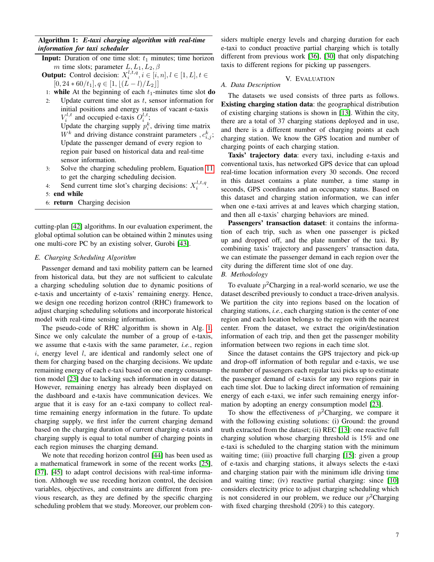## Algorithm 1: *E-taxi charging algorithm with real-time information for taxi scheduler*

- <span id="page-6-1"></span>**Input:** Duration of one time slot:  $t_1$  minutes; time horizon m time slots; parameter  $L, L_1, L_2, \beta$
- **Output:** Control decision:  $X_i^{l,t,q}, i \in [i, n], l \in [1, L], t \in$  $[0, 24 * 60/t_1], q \in [1, |(L - l)/L_2|]$
- 1: while At the beginning of each  $t_1$ -minutes time slot do
	- Update current time slot as  $t$ , sensor information for initial positions and energy status of vacant e-taxis  $V_i^{l,t}$  and occupied e-taxis  $O_i^{l,t}$ ;

Update the charging supply  $p_i^k$ , driving time matrix  $W^k$  and driving distance constraint parameters ,  $c_{i,j}^k$ ; Update the passenger demand of every region to region pair based on historical data and real-time sensor information.

- 3: Solve the charging scheduling problem, Equation [11](#page-5-2) to get the charging scheduling decision.
- 4: Send current time slot's charging decisions:  $X_i^{l,t,q}$ .
- 5: end while
- 6: return Charging decision

cutting-plan [\[42\]](#page-11-1) algorithms. In our evaluation experiment, the global optimal solution can be obtained within 2 minutes using one multi-core PC by an existing solver, Gurobi [\[43\]](#page-11-2).

#### *E. Charging Scheduling Algorithm*

Passenger demand and taxi mobility pattern can be learned from historical data, but they are not sufficient to calculate a charging scheduling solution due to dynamic positions of e-taxis and uncertainty of e-taxis' remaining energy. Hence, we design one receding horizon control (RHC) framework to adjust charging scheduling solutions and incorporate historical model with real-time sensing information.

The pseudo-code of RHC algorithm is shown in Alg. [1.](#page-6-1) Since we only calculate the number of a group of e-taxis, we assume that e-taxis with the same parameter, *i.e.*, region  $i$ , energy level  $l$ , are identical and randomly select one of them for charging based on the charging decisions. We update remaining energy of each e-taxi based on one energy consumption model [\[23\]](#page-10-22) due to lacking such information in our dataset. However, remaining energy has already been displayed on the dashboard and e-taxis have communication devices. We argue that it is easy for an e-taxi company to collect realtime remaining energy information in the future. To update charging supply, we first infer the current charging demand based on the charging duration of current charging e-taxis and charging supply is equal to total number of charging points in each region minuses the charging demand.

We note that receding horizon control [\[44\]](#page-11-3) has been used as a mathematical framework in some of the recent works [\[25\]](#page-10-24), [\[37\]](#page-10-36), [\[45\]](#page-11-4) to adapt control decisions with real-time information. Although we use receding horizon control, the decision variables, objectives, and constraints are different from previous research, as they are defined by the specific charging scheduling problem that we study. Moreover, our problem considers multiple energy levels and charging duration for each e-taxi to conduct proactive partial charging which is totally different from previous work [\[36\]](#page-10-35), [\[30\]](#page-10-29) that only dispatching taxis to different regions for picking up passengers.

# V. EVALUATION

### <span id="page-6-0"></span>*A. Data Description*

The datasets we used consists of three parts as follows. Existing charging station data: the geographical distribution of existing charging stations is shown in [\[13\]](#page-10-12). Within the city, there are a total of 37 charging stations deployed and in use, and there is a different number of charging points at each charging station. We know the GPS location and number of charging points of each charging station.

Taxis' trajectory data: every taxi, including e-taxis and conventional taxis, has networked GPS device that can upload real-time location information every 30 seconds. One record in this dataset contains a plate number, a time stamp in seconds, GPS coordinates and an occupancy status. Based on this dataset and charging station information, we can infer when one e-taxi arrives at and leaves which charging station, and then all e-taxis' charging behaviors are mined.

Passengers' transaction dataset: it contains the information of each trip, such as when one passenger is picked up and dropped off, and the plate number of the taxi. By combining taxis' trajectory and passengers' transaction data, we can estimate the passenger demand in each region over the city during the different time slot of one day.

## *B. Methodology*

To evaluate  $p^2$ Charging in a real-world scenario, we use the dataset described previously to conduct a trace-driven analysis. We partition the city into regions based on the location of charging stations, *i.e.*, each charging station is the center of one region and each location belongs to the region with the nearest center. From the dataset, we extract the origin/destination information of each trip, and then get the passenger mobility information between two regions in each time slot.

Since the dataset contains the GPS trajectory and pick-up and drop-off information of both regular and e-taxis, we use the number of passengers each regular taxi picks up to estimate the passenger demand of e-taxis for any two regions pair in each time slot. Due to lacking direct information of remaining energy of each e-taxi, we infer such remaining energy information by adopting an energy consumption model [\[23\]](#page-10-22).

To show the effectiveness of  $p^2$ Charging, we compare it with the following existing solutions: (i) Ground: the ground truth extracted from the dataset; (ii) REC [\[13\]](#page-10-12): one reactive full charging solution whose charging threshold is 15% and one e-taxi is scheduled to the charging station with the minimum waiting time; (iii) proactive full charging [\[15\]](#page-10-14): given a group of e-taxis and charging stations, it always selects the e-taxi and charging station pair with the minimum idle driving time and waiting time; (iv) reactive partial charging: since [\[10\]](#page-10-9) considers electricity price to adjust charging scheduling which is not considered in our problem, we reduce our  $p^2$ Charging with fixed charging threshold (20%) to this category.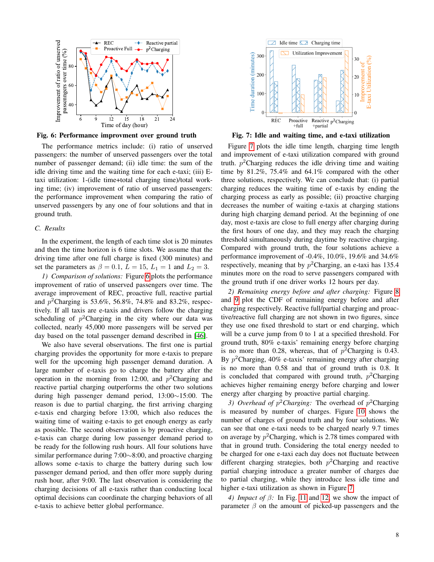<span id="page-7-0"></span>

The performance metrics include: (i) ratio of unserved passengers: the number of unserved passengers over the total number of passenger demand; (ii) idle time: the sum of the idle driving time and the waiting time for each e-taxi; (iii) Etaxi utilization: 1-(idle time+total charging time)/total working time; (iv) improvement of ratio of unserved passengers: the performance improvement when comparing the ratio of unserved passengers by any one of four solutions and that in ground truth.

#### *C. Results*

In the experiment, the length of each time slot is 20 minutes and then the time horizon is 6 time slots. We assume that the driving time after one full charge is fixed (300 minutes) and set the parameters as  $\beta = 0.1$ ,  $L = 15$ ,  $L_1 = 1$  and  $L_2 = 3$ .

*1) Comparison of solutions:* Figure [6](#page-7-0) plots the performance improvement of ratio of unserved passengers over time. The average improvement of REC, proactive full, reactive partial and  $p^2$ Charging is 53.6%, 56.8%, 74.8% and 83.2%, respectively. If all taxis are e-taxis and drivers follow the charging scheduling of  $p^2$ Charging in the city where our data was collected, nearly 45,000 more passengers will be served per day based on the total passenger demand described in [\[46\]](#page-11-5).

We also have several observations. The first one is partial charging provides the opportunity for more e-taxis to prepare well for the upcoming high passenger demand duration. A large number of e-taxis go to charge the battery after the operation in the morning from 12:00, and  $p^2$ Charging and reactive partial charging outperforms the other two solutions during high passenger demand period, 13:00∼15:00. The reason is due to partial charging, the first arriving charging e-taxis end charging before 13:00, which also reduces the waiting time of waiting e-taxis to get enough energy as early as possible. The second observation is by proactive charging, e-taxis can charge during low passenger demand period to be ready for the following rush hours. All four solutions have similar performance during 7:00∼8:00, and proactive charging allows some e-taxis to charge the battery during such low passenger demand period, and then offer more supply during rush hour, after 9:00. The last observation is considering the charging decisions of all e-taxis rather than conducting local optimal decisions can coordinate the charging behaviors of all e-taxis to achieve better global performance.



Fig. 6: Performance improvment over ground truth Fig. 7: Idle and waiting time, and e-taxi utilization

Figure [7](#page-7-0) plots the idle time length, charging time length and improvement of e-taxi utilization compared with ground truth.  $p^2$ Charging reduces the idle driving time and waiting time by 81.2%, 75.4% and 64.1% compared with the other three solutions, respectively. We can conclude that: (i) partial charging reduces the waiting time of e-taxis by ending the charging process as early as possible; (ii) proactive charging decreases the number of waiting e-taxis at charging stations during high charging demand period. At the beginning of one day, most e-taxis are close to full energy after charging during the first hours of one day, and they may reach the charging threshold simultaneously during daytime by reactive charging. Compared with ground truth, the four solutions achieve a performance improvement of -0.4%, 10.0%, 19.6% and 34.6% respectively, meaning that by  $p^2$ Charging, an e-taxi has 135.4 minutes more on the road to serve passengers compared with the ground truth if one driver works 12 hours per day.

*2) Remaining energy before and after charging:* Figure [8](#page-8-0) and [9](#page-8-0) plot the CDF of remaining energy before and after charging respectively. Reactive full/partial charging and proactive/reactive full charging are not shown in two figures, since they use one fixed threshold to start or end charging, which will be a curve jump from 0 to 1 at a specified threshold. For ground truth, 80% e-taxis' remaining energy before charging is no more than 0.28, whereas, that of  $p^2$ Charging is 0.43. By  $p^2$ Charging, 40% e-taxis' remaining energy after charging is no more than 0.58 and that of ground truth is 0.8. It is concluded that compared with ground truth,  $p^2$ Charging achieves higher remaining energy before charging and lower energy after charging by proactive partial charging.

3) Overhead of  $p^2$ Charging: The overhead of  $p^2$ Charging is measured by number of charges. Figure [10](#page-8-0) shows the number of charges of ground truth and by four solutions. We can see that one e-taxi needs to be charged nearly 9.7 times on average by  $p^2$ Charging, which is 2.78 times compared with that in ground truth. Considering the total energy needed to be charged for one e-taxi each day does not fluctuate between different charging strategies, both  $p^2$ Charging and reactive partial charging introduce a greater number of charges due to partial charging, while they introduce less idle time and higher e-taxi utilization as shown in Figure [7.](#page-7-0)

*4) Impact of* β*:* In Fig. [11](#page-8-1) and [12,](#page-8-1) we show the impact of parameter  $\beta$  on the amount of picked-up passengers and the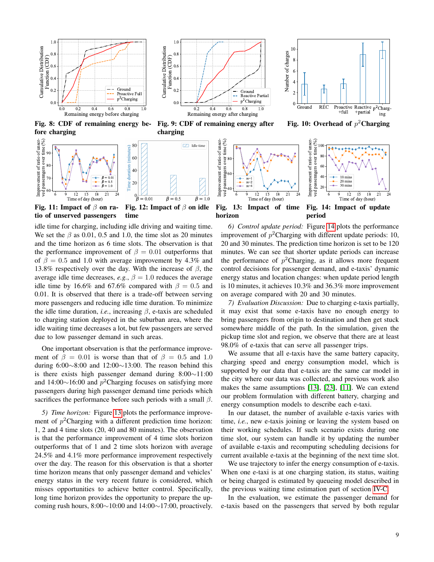<span id="page-8-0"></span>

<span id="page-8-1"></span>idle time for charging, including idle driving and waiting time. We set the  $\beta$  as 0.01, 0.5 and 1.0, the time slot as 20 minutes and the time horizon as 6 time slots. The observation is that the performance improvement of  $\beta = 0.01$  outperforms that of  $\beta = 0.5$  and 1.0 with average improvement by 4.3% and 13.8% respectively over the day. With the increase of  $\beta$ , the average idle time decreases,  $e.g., \beta = 1.0$  reduces the average idle time by 16.6% and 67.6% compared with  $\beta = 0.5$  and 0.01. It is observed that there is a trade-off between serving more passengers and reducing idle time duration. To minimize the idle time duration, *i.e.*, increasing  $\beta$ , e-taxis are scheduled to charging station deployed in the suburban area, where the idle waiting time decreases a lot, but few passengers are served due to low passenger demand in such areas.

One important observation is that the performance improvement of  $\beta = 0.01$  is worse than that of  $\beta = 0.5$  and 1.0 during 6:00∼8:00 and 12:00∼13:00. The reason behind this is there exists high passenger demand during 8:00∼11:00 and 14:00 $\sim$ 16:00 and  $p^2$ Charging focuses on satisfying more passengers during high passenger demand time periods which sacrifices the performance before such periods with a small  $\beta$ .

*5) Time horizon:* Figure [13](#page-8-1) plots the performance improvement of  $p^2$ Charging with a different prediction time horizon: 1, 2 and 4 time slots (20, 40 and 80 minutes). The observation is that the performance improvement of 4 time slots horizon outperforms that of 1 and 2 time slots horizon with average 24.5% and 4.1% more performance improvement respectively over the day. The reason for this observation is that a shorter time horizon means that only passenger demand and vehicles' energy status in the very recent future is considered, which misses opportunities to achieve better control. Specifically, long time horizon provides the opportunity to prepare the upcoming rush hours,  $8:00~10:00$  and  $14:00~17:00$ , proactively.

*6) Control update period:* Figure [14](#page-8-1) plots the performance improvement of  $p^2$ Charging with different update periods: 10, 20 and 30 minutes. The prediction time horizon is set to be 120 minutes. We can see that shorter update periods can increase the performance of  $p^2$ Charging, as it allows more frequent control decisions for passenger demand, and e-taxis' dynamic energy status and location changes: when update period length is 10 minutes, it achieves 10.3% and 36.3% more improvement on average compared with 20 and 30 minutes.

*7) Evaluation Discussion:* Due to charging e-taxis partially, it may exist that some e-taxis have no enough energy to bring passengers from origin to destination and then get stuck somewhere middle of the path. In the simulation, given the pickup time slot and region, we observe that there are at least 98.0% of e-taxis that can serve all passenger trips.

We assume that all e-taxis have the same battery capacity, charging speed and energy consumption model, which is supported by our data that e-taxis are the same car model in the city where our data was collected, and previous work also makes the same assumptions [\[13\]](#page-10-12), [\[23\]](#page-10-22), [\[11\]](#page-10-10). We can extend our problem formulation with different battery, charging and energy consumption models to describe each e-taxi.

In our dataset, the number of available e-taxis varies with time, *i.e.*, new e-taxis joining or leaving the system based on their working schedules. If such scenario exists during one time slot, our system can handle it by updating the number of available e-taxis and recomputing scheduling decisions for current available e-taxis at the beginning of the next time slot.

We use trajectory to infer the energy consumption of e-taxis. When one e-taxi is at one charging station, its status, waiting or being charged is estimated by queueing model described in the previous waiting time estimation part of section [IV-C.](#page-4-0)

In the evaluation, we estimate the passenger demand for e-taxis based on the passengers that served by both regular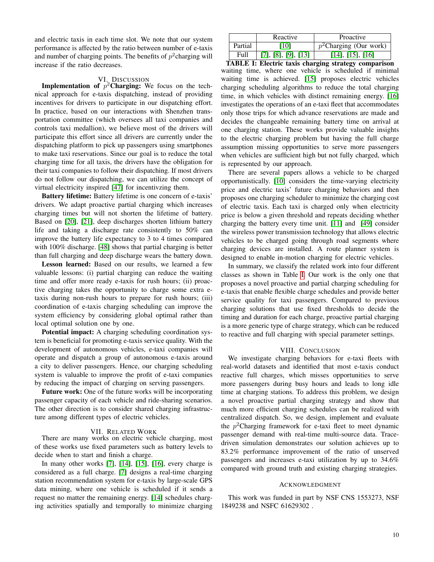and electric taxis in each time slot. We note that our system performance is affected by the ratio between number of e-taxis and number of charging points. The benefits of  $p^2$ charging will increase if the ratio decreases.

## VI. DISCUSSION

**Implementation of**  $p^2$ **Charging:** We focus on the technical approach for e-taxis dispatching, instead of providing incentives for drivers to participate in our dispatching effort. In practice, based on our interactions with Shenzhen transportation committee (which oversees all taxi companies and controls taxi medallion), we believe most of the drivers will participate this effort since all drivers are currently under the dispatching platform to pick up passengers using smartphones to make taxi reservations. Since our goal is to reduce the total charging time for all taxis, the drivers have the obligation for their taxi companies to follow their dispatching. If most drivers do not follow our dispatching, we can utilize the concept of virtual electricity inspired [\[47\]](#page-11-6) for incentivzing them.

Battery lifetime: Battery lifetime is one concern of e-taxis' drivers. We adapt proactive partial charging which increases charging times but will not shorten the lifetime of battery. Based on [\[20\]](#page-10-19), [\[21\]](#page-10-20), deep discharges shorten lithium battery life and taking a discharge rate consistently to 50% can improve the battery life expectancy to 3 to 4 times compared with 100% discharge. [\[48\]](#page-11-7) shows that partial charging is better than full charging and deep discharge wears the battery down.

Lesson learned: Based on our results, we learned a few valuable lessons: (i) partial charging can reduce the waiting time and offer more ready e-taxis for rush hours; (ii) proactive charging takes the opportunity to charge some extra etaxis during non-rush hours to prepare for rush hours; (iii) coordination of e-taxis charging scheduling can improve the system efficiency by considering global optimal rather than local optimal solution one by one.

Potential impact: A charging scheduling coordination system is beneficial for promoting e-taxis service quality. With the development of autonomous vehicles, e-taxi companies will operate and dispatch a group of autonomous e-taxis around a city to deliver passengers. Hence, our charging scheduling system is valuable to improve the profit of e-taxi companies by reducing the impact of charging on serving passengers.

Future work: One of the future works will be incorporating passenger capacity of each vehicle and ride-sharing scenarios. The other direction is to consider shared charging infrastructure among different types of electric vehicles.

#### VII. RELATED WORK

There are many works on electric vehicle charging, most of these works use fixed parameters such as battery levels to decide when to start and finish a charge.

In many other works [\[7\]](#page-10-6), [\[14\]](#page-10-13), [\[15\]](#page-10-14), [\[16\]](#page-10-15), every charge is considered as a full charge. [\[7\]](#page-10-6) designs a real-time charging station recommendation system for e-taxis by large-scale GPS data mining, where one vehicle is scheduled if it sends a request no matter the remaining energy. [\[14\]](#page-10-13) schedules charging activities spatially and temporally to minimize charging

<span id="page-9-0"></span>

|         | Reactive                       | Proactive                 |
|---------|--------------------------------|---------------------------|
| Partial | [10]                           | $p^2$ Charging (Our work) |
| Full    | $[7]$ , $[8]$ , $[9]$ , $[13]$ | $[14]$ , $[15]$ , $[16]$  |

TABLE I: Electric taxis charging strategy comparison waiting time, where one vehicle is scheduled if minimal waiting time is achieved. [\[15\]](#page-10-14) proposes electric vehicles charging scheduling algorithms to reduce the total charging time, in which vehicles with distinct remaining energy. [\[16\]](#page-10-15) investigates the operations of an e-taxi fleet that accommodates only those trips for which advance reservations are made and decides the changeable remaining battery time on arrival at one charging station. These works provide valuable insights to the electric charging problem but having the full charge assumption missing opportunities to serve more passengers when vehicles are sufficient high but not fully charged, which is represented by our approach.

There are several papers allows a vehicle to be charged opportunistically. [\[10\]](#page-10-9) considers the time-varying electricity price and electric taxis' future charging behaviors and then proposes one charging scheduler to minimize the charging cost of electric taxis. Each taxi is charged only when electricity price is below a given threshold and repeats deciding whether charging the battery every time unit. [\[11\]](#page-10-10) and [\[49\]](#page-11-8) consider the wireless power transmission technology that allows electric vehicles to be charged going through road segments where charging devices are installed. A route planner system is designed to enable in-motion charging for electric vehicles.

In summary, we classify the related work into four different classes as shown in Table [I.](#page-9-0) Our work is the only one that proposes a novel proactive and partial charging scheduling for e-taxis that enable flexible charge schedules and provide better service quality for taxi passengers. Compared to previous charging solutions that use fixed thresholds to decide the timing and duration for each charge, proactive partial charging is a more generic type of charge strategy, which can be reduced to reactive and full charging with special parameter settings.

## VIII. CONCLUSION

We investigate charging behaviors for e-taxi fleets with real-world datasets and identified that most e-taxis conduct reactive full charges, which misses opportunities to serve more passengers during busy hours and leads to long idle time at charging stations. To address this problem, we design a novel proactive partial charging strategy and show that much more efficient charging schedules can be realized with centralized dispatch. So, we design, implement and evaluate the  $p^2$ Charging framework for e-taxi fleet to meet dynamic passenger demand with real-time multi-source data. Tracedriven simulation demonstrates our solution achieves up to 83.2% performance improvement of the ratio of unserved passengers and increases e-taxi utilization by up to 34.6% compared with ground truth and existing charging strategies.

#### ACKNOWLEDGMENT

This work was funded in part by NSF CNS 1553273, NSF 1849238 and NSFC 61629302 .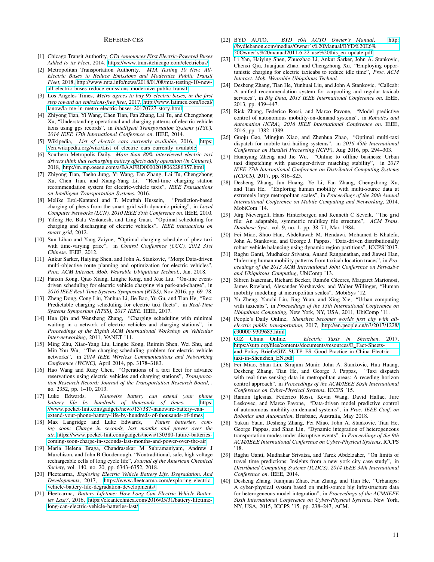#### **REFERENCES**

- <span id="page-10-0"></span>[1] Chicago Transit Authority, *CTA Announces First Electric-Powered Buses Added to its Fleet*, 2014, https://www.transitchicago.[com/electricbus/.](https://www.transitchicago.com/electricbus/)
- <span id="page-10-1"></span>[2] Metropolitan Transportation Authority, *MTA Testing 10 New, All-Electric Buses to Reduce Emissions and Modernize Public Transit Fleet*, 2018, http://www.mta.[info/news/2018/01/08/mta-testing-10-new](http://www.mta.info/news/2018/01/08/mta-testing-10-new-all-electric-buses-reduce-emissions-modernize-public-transit)[all-electric-buses-reduce-emissions-modernize-public-transit.](http://www.mta.info/news/2018/01/08/mta-testing-10-new-all-electric-buses-reduce-emissions-modernize-public-transit)
- <span id="page-10-2"></span>[3] Los Angeles Times, *Metro agrees to buy 95 electric buses, in the first step toward an emissions-free fleet*, 2017, [http://www](http://www.latimes.com/local/lanow/la-me-ln-metro-electric-buses-20170727-story.html).latimes.com/local/ [lanow/la-me-ln-metro-electric-buses-20170727-story](http://www.latimes.com/local/lanow/la-me-ln-metro-electric-buses-20170727-story.html).html.
- <span id="page-10-3"></span>[4] Zhiyong Tian, Yi Wang, Chen Tian, Fan Zhang, Lai Tu, and Chengzhong Xu, "Understanding operational and charging patterns of electric vehicle taxis using gps records", in *Intelligent Transportation Systems (ITSC), 2014 IEEE 17th International Conference on*. IEEE, 2014.
- <span id="page-10-4"></span>[5] Wikipedia, *List of electric cars currently available*, 2016, [https:](https://en.wikipedia.org/wiki/List_of_electric_cars_currently_available) //en.wikipedia.[org/wiki/List](https://en.wikipedia.org/wiki/List_of_electric_cars_currently_available)\_of\_electric\_cars\_currently\_available.
- <span id="page-10-5"></span>[6] Southern Metropolis Daily, *More than 80% interviewed electric taxi drivers think that recharging battery affects daily operation (in Chinese)*, 2018, http://m.mp.oeeee.[com/a/BAAFRD00002018062286357](http://m.mp.oeeee.com/a/BAAFRD00002018062286357.html).html.
- <span id="page-10-6"></span>[7] Zhiyong Tian, Taeho Jung, Yi Wang, Fan Zhang, Lai Tu, Chengzhong Xu, Chen Tian, and Xiang-Yang Li, "Real-time charging station recommendation system for electric-vehicle taxis", *IEEE Transactions on Intelligent Transportation Systems*, 2016.
- <span id="page-10-7"></span>[8] Melike Erol-Kantarci and T. Mouftah Hussein, "Prediction-based charging of phevs from the smart grid with dynamic pricing", in *Local Computer Networks (LCN), 2010 IEEE 35th Conference on*. IEEE, 2010.
- <span id="page-10-8"></span>[9] Yifeng He, Bala Venkatesh, and Ling Guan, "Optimal scheduling for charging and discharging of electric vehicles", *IEEE transactions on smart grid*, 2012.
- <span id="page-10-9"></span>[10] Sun Lihao and Yang Zaiyue, "Optimal charging schedule of phev taxi with time-varying price", in *Control Conference (CCC), 2012 31st Chinese*. IEEE, 2012.
- <span id="page-10-10"></span>[11] Ankur Sarker, Haiying Shen, and John A. Stankovic, "Morp: Data-driven multi-objective route planning and optimization for electric vehicles", *Proc. ACM Interact. Mob. Wearable Ubiquitous Technol.*, Jan. 2018.
- <span id="page-10-11"></span>[12] Fanxin Kong, Qiao Xiang, Linghe Kong, and Xue Liu, "On-line eventdriven scheduling for electric vehicle charging via park-and-charge", in *2016 IEEE Real-Time Systems Symposium (RTSS)*, Nov 2016, pp. 69–78.
- <span id="page-10-12"></span>[13] Zheng Dong, Cong Liu, Yanhua Li, Jie Bao, Yu Gu, and Tian He, "Rec: Predictable charging scheduling for electric taxi fleets", in *Real-Time Systems Symposium (RTSS), 2017 IEEE*. IEEE, 2017.
- <span id="page-10-13"></span>[14] Hua Qin and Wensheng Zhang, "Charging scheduling with minimal waiting in a network of electric vehicles and charging stations", in *Proceedings of the Eighth ACM International Workshop on Vehicular Inter-networking*, 2011, VANET '11.
- <span id="page-10-14"></span>[15] Ming Zhu, Xiao-Yang Liu, Linghe Kong, Ruimin Shen, Wei Shu, and Min-You Wu, "The charging-scheduling problem for electric vehicle networks", in *2014 IEEE Wireless Communications and Networking Conference (WCNC)*, April 2014, pp. 3178–3183.
- <span id="page-10-15"></span>[16] Hao Wang and Ruey Cheu, "Operations of a taxi fleet for advance reservations using electric vehicles and charging stations", *Transportation Research Record: Journal of the Transportation Research Board*, , no. 2352, pp. 1–10, 2013.
- <span id="page-10-16"></span>[17] Luke Edwards, *Nanowire battery can extend your phone battery life by hundreds of thousands of times*, [https:](https://www.pocket-lint.com/gadgets/news/137387-nanowire-battery-can-extend-your-phone-battery-life-by-hundreds-of-thousands-of-times) //www.pocket-lint.[com/gadgets/news/137387-nanowire-battery-can](https://www.pocket-lint.com/gadgets/news/137387-nanowire-battery-can-extend-your-phone-battery-life-by-hundreds-of-thousands-of-times)[extend-your-phone-battery-life-by-hundreds-of-thousands-of-times.](https://www.pocket-lint.com/gadgets/news/137387-nanowire-battery-can-extend-your-phone-battery-life-by-hundreds-of-thousands-of-times)
- <span id="page-10-17"></span>[18] Max Langridge and Luke Edwards, *Future batteries, coming soon: Charge in seconds, last months and power over the air*, https://www.pocket-lint.[com/gadgets/news/130380-future-batteries](https://www.pocket-lint.com/gadgets/news/130380-future-batteries-coming-soon-charge-in-seconds-last-months-and-power-over-the-air)[coming-soon-charge-in-seconds-last-months-and-power-over-the-air.](https://www.pocket-lint.com/gadgets/news/130380-future-batteries-coming-soon-charge-in-seconds-last-months-and-power-over-the-air)
- <span id="page-10-18"></span>[19] Maria Helena Braga, Chandrasekar M Subramaniyam, Andrew J Murchison, and John B Goodenough, "Nontraditional, safe, high voltage rechargeable cells of long cycle life", *Journal of the American Chemical Society*, vol. 140, no. 20, pp. 6343–6352, 2018.
- <span id="page-10-19"></span>[20] Fleetcarma, *Exploring Electric Vehicle Battery Life, Degradation, And Developments*, 2017, https://www.fleetcarma.[com/exploring-electric](https://www.fleetcarma.com/exploring-electric-vehicle-battery-life-degradation-developments/)[vehicle-battery-life-degradation-developments/.](https://www.fleetcarma.com/exploring-electric-vehicle-battery-life-degradation-developments/)
- <span id="page-10-20"></span>[21] Fleetcarma, *Battery Lifetime: How Long Can Electric Vehicle Batteries Last?*, 2016, https://cleantechnica.[com/2016/05/31/battery-lifetime](https://cleantechnica.com/2016/05/31/battery-lifetime-long-can-electric-vehicle-batteries-last/)[long-can-electric-vehicle-batteries-last/.](https://cleantechnica.com/2016/05/31/battery-lifetime-long-can-electric-vehicle-batteries-last/)
- <span id="page-10-21"></span>[22] BYD AUTO, *BYD e6A AUTO Owner's Manual*, [http:](http://bydlebanon.com/medias/Owner) //bydlebanon.[com/medias/Owner's%20Manual/BYD%20E6%](http://bydlebanon.com/medias/Owner) [20Owner's%20manual2011](http://bydlebanon.com/medias/Owner).6.22-use%20this en-update.pdf.
- <span id="page-10-22"></span>[23] Li Yan, Haiying Shen, Zhuozhao Li, Ankur Sarker, John A. Stankovic, Chenxi Qiu, Juanjuan Zhao, and Chengzhong Xu, "Employing opportunistic charging for electric taxicabs to reduce idle time", *Proc. ACM Interact. Mob. Wearable Ubiquitous Technol.*
- <span id="page-10-23"></span>[24] Desheng Zhang, Tian He, Yunhuai Liu, and John A Stankovic, "Callcab: A unified recommendation system for carpooling and regular taxicab services", in *Big Data, 2013 IEEE International Conference on*. IEEE, 2013, pp. 439–447.
- <span id="page-10-24"></span>[25] Rick Zhang, Federico Rossi, and Marco Pavone, "Model predictive control of autonomous mobility-on-demand systems", in *Robotics and Automation (ICRA), 2016 IEEE International Conference on*. IEEE, 2016, pp. 1382–1389.
- <span id="page-10-25"></span>[26] Guoju Gao, Mingjun Xiao, and Zhenhua Zhao, "Optimal multi-taxi dispatch for mobile taxi-hailing systems", in *2016 45th International Conference on Parallel Processing (ICPP)*, Aug 2016, pp. 294–303.
- <span id="page-10-26"></span>[27] Huanyang Zheng and Jie Wu, "Online to offline business: Urban taxi dispatching with passenger-driver matching stability", in *2017 IEEE 37th International Conference on Distributed Computing Systems (ICDCS)*, 2017, pp. 816–825.
- <span id="page-10-27"></span>[28] Desheng Zhang, Jun Huang, Ye Li, Fan Zhang, Chengzhong Xu, and Tian He, "Exploring human mobility with multi-source data at extremely large metropolitan scales", in *Proceedings of the 20th Annual International Conference on Mobile Computing and Networking*, 2014, MobiCom '14.
- <span id="page-10-28"></span>[29] Jürg Nievergelt, Hans Hinterberger, and Kenneth C Sevcik, "The grid file: An adaptable, symmetric multikey file structure", *ACM Trans. Database Syst.*, vol. 9, no. 1, pp. 38–71, Mar. 1984.
- <span id="page-10-29"></span>[30] Fei Miao, Shuo Han, Abdeltawab M. Hendawi, Mohamed E Khalefa, John A. Stankovic, and George J. Pappas, "Data-driven distributionally robust vehicle balancing using dynamic region partitions", ICCPS'2017.
- <span id="page-10-30"></span>[31] Raghu Ganti, Mudhakar Srivatsa, Anand Ranganathan, and Jiawei Han, "Inferring human mobility patterns from taxicab location traces", in *Proceedings of the 2013 ACM International Joint Conference on Pervasive and Ubiquitous Computing*, UbiComp '13.
- <span id="page-10-31"></span>[32] Sibren Isaacman, Richard Becker, Ramón Cáceres, Margaret Martonosi, James Rowland, Alexander Varshavsky, and Walter Willinger, "Human mobility modeling at metropolitan scales", MobiSys '12.
- <span id="page-10-32"></span>[33] Yu Zheng, Yanchi Liu, Jing Yuan, and Xing Xie, "Urban computing with taxicabs", in *Proceedings of the 13th International Conference on Ubiquitous Computing*, New York, NY, USA, 2011, UbiComp '11.
- <span id="page-10-33"></span>[34] People's Daily Online, Shenzhen becomes worlds first city with all*electric public transportation*, 2017, http://en.people.[cn/n3/2017/1228/](http://en.people.cn/n3/2017/1228/c90000-9309683.html) [c90000-9309683](http://en.people.cn/n3/2017/1228/c90000-9309683.html).html.
- <span id="page-10-34"></span>[35] GIZ China Online, *Electric Taxis in Shenzhen*, 2017, https://sutp.[org/files/contents/documents/resources/E](https://sutp.org/files/contents/documents/resources/E_Fact-Sheets-and-Policy-Briefs/GIZ_SUTP_FS_Good-Practice-in-China-Electric-taxi-in-Shenzhen_EN.pdf) Fact-Sheets-and-Policy-Briefs/GIZ\_SUTP\_FS\_[Good-Practice-in-China-Electric](https://sutp.org/files/contents/documents/resources/E_Fact-Sheets-and-Policy-Briefs/GIZ_SUTP_FS_Good-Practice-in-China-Electric-taxi-in-Shenzhen_EN.pdf)[taxi-in-Shenzhen](https://sutp.org/files/contents/documents/resources/E_Fact-Sheets-and-Policy-Briefs/GIZ_SUTP_FS_Good-Practice-in-China-Electric-taxi-in-Shenzhen_EN.pdf) EN.pdf.
- <span id="page-10-35"></span>[36] Fei Miao, Shan Lin, Sirajum Munir, John A. Stankovic, Hua Huang, Desheng Zhang, Tian He, and George J. Pappas, "Taxi dispatch with real-time sensing data in metropolitan areas: A receding horizon control approach", in *Proceedings of the ACM/IEEE Sixth International Conference on Cyber-Physical Systems*, ICCPS '15.
- <span id="page-10-36"></span>[37] Ramon Iglesias, Federico Rossi, Kevin Wang, David Hallac, Jure Leskovec, and Marco Pavone, "Data-driven model predictive control of autonomous mobility-on-demand systems", in *Proc. IEEE Conf. on Robotics and Automation*, Brisbane, Australia, May 2018.
- <span id="page-10-37"></span>[38] Yukun Yuan, Desheng Zhang, Fei Miao, John A. Stankovic, Tian He, George Pappas, and Shan Lin, "Dynamic integration of heterogeneous transportation modes under disruptive events", in *Proceedings of the 9th ACM/IEEE International Conference on Cyber-Physical Systems*, ICCPS '18.
- <span id="page-10-38"></span>[39] Raghu Ganti, Mudhakar Srivatsa, and Tarek Abdelzaher, "On limits of travel time predictions: Insights from a new york city case study", in *Distributed Computing Systems (ICDCS), 2014 IEEE 34th International Conference on*. IEEE, 2014.
- <span id="page-10-39"></span>[40] Desheng Zhang, Juanjuan Zhao, Fan Zhang, and Tian He, "Urbancps: A cyber-physical system based on multi-source big infrastructure data for heterogeneous model integration", in *Proceedings of the ACM/IEEE Sixth International Conference on Cyber-Physical Systems*, New York, NY, USA, 2015, ICCPS '15, pp. 238–247, ACM.